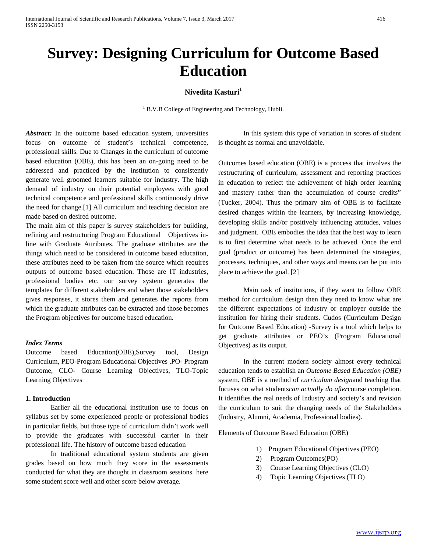# **Survey: Designing Curriculum for Outcome Based Education**

# **Nivedita Kasturi<sup>1</sup>**

<sup>1</sup> B.V.B College of Engineering and Technology, Hubli.

Abstract: In the outcome based education system, universities focus on outcome of student's technical competence, professional skills. Due to Changes in the curriculum of outcome based education (OBE), this has been an on-going need to be addressed and practiced by the institution to consistently generate well groomed learners suitable for industry. The high demand of industry on their potential employees with good technical competence and professional skills continuously drive the need for change.[1] All curriculum and teaching decision are made based on desired outcome.

The main aim of this paper is survey stakeholders for building, refining and restructuring Program Educational Objectives inline with Graduate Attributes. The graduate attributes are the things which need to be considered in outcome based education, these attributes need to be taken from the source which requires outputs of outcome based education. Those are IT industries, professional bodies etc. our survey system generates the templates for different stakeholders and when those stakeholders gives responses, it stores them and generates the reports from which the graduate attributes can be extracted and those becomes the Program objectives for outcome based education.

#### *Index Terms*

Outcome based Education(OBE),Survey tool, Design Curriculum, PEO-Program Educational Objectives ,PO- Program Outcome, CLO- Course Learning Objectives, TLO-Topic Learning Objectives

## **1. Introduction**

Earlier all the educational institution use to focus on syllabus set by some experienced people or professional bodies in particular fields, but those type of curriculum didn't work well to provide the graduates with successful carrier in their professional life. The history of outcome based education

In traditional educational system students are given grades based on how much they score in the assessments conducted for what they are thought in classroom sessions. here some student score well and other score below average.

In this system this type of variation in scores of student is thought as normal and unavoidable.

Outcomes based education (OBE) is a process that involves the restructuring of curriculum, assessment and reporting practices in education to reflect the achievement of high order learning and mastery rather than the accumulation of course credits" (Tucker, 2004). Thus the primary aim of OBE is to facilitate desired changes within the learners, by increasing knowledge, developing skills and/or positively influencing attitudes, values and judgment. OBE embodies the idea that the best way to learn is to first determine what needs to be achieved. Once the end goal (product or outcome) has been determined the strategies, processes, techniques, and other ways and means can be put into place to achieve the goal. [2]

Main task of institutions, if they want to follow OBE method for curriculum design then they need to know what are the different expectations of industry or employer outside the institution for hiring their students. Cudos (Curriculum Design for Outcome Based Education) -Survey is a tool which helps to get graduate attributes or PEO's (Program Educational Objectives) as its output.

In the current modern society almost every technical education tends to establish an *Outcome Based Education (OBE)* system. OBE is a method of *curriculum design*and teaching that focuses on what students*can actually do after*course completion. It identifies the real needs of Industry and society's and revision the curriculum to suit the changing needs of the Stakeholders (Industry, Alumni, Academia, Professional bodies).

Elements of Outcome Based Education (OBE)

- 1) Program Educational Objectives (PEO)
- 2) Program Outcomes(PO)
- 3) Course Learning Objectives (CLO)
- 4) Topic Learning Objectives (TLO)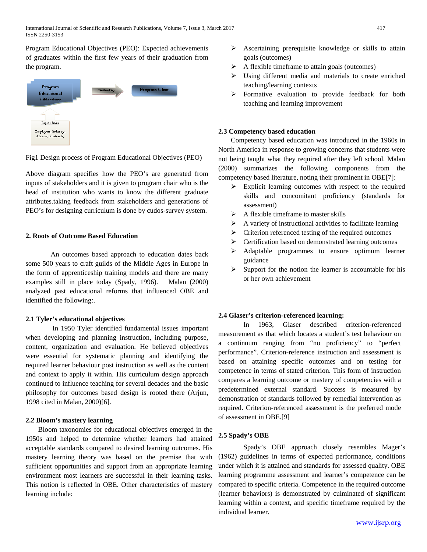Program Educational Objectives (PEO): Expected achievements of graduates within the first few years of their graduation from the program.



Fig1 Design process of Program Educational Objectives (PEO)

Above diagram specifies how the PEO's are generated from inputs of stakeholders and it is given to program chair who is the head of institution who wants to know the different graduate attributes.taking feedback from stakeholders and generations of PEO's for designing curriculum is done by cudos-survey system.

## **2. Roots of Outcome Based Education**

An outcomes based approach to education dates back some 500 years to craft guilds of the Middle Ages in Europe in the form of apprenticeship training models and there are many examples still in place today (Spady, 1996). Malan (2000) analyzed past educational reforms that influenced OBE and identified the following:.

## **2.1 Tyler's educational objectives**

In 1950 Tyler identified fundamental issues important when developing and planning instruction, including purpose, content, organization and evaluation. He believed objectives were essential for systematic planning and identifying the required learner behaviour post instruction as well as the content and context to apply it within. His curriculum design approach continued to influence teaching for several decades and the basic philosophy for outcomes based design is rooted there (Arjun, 1998 cited in Malan, 2000)[6].

## **2.2 Bloom's mastery learning**

Bloom taxonomies for educational objectives emerged in the 1950s and helped to determine whether learners had attained acceptable standards compared to desired learning outcomes. His mastery learning theory was based on the premise that with sufficient opportunities and support from an appropriate learning environment most learners are successful in their learning tasks. This notion is reflected in OBE. Other characteristics of mastery learning include:

- $\triangleright$  Ascertaining prerequisite knowledge or skills to attain goals (outcomes)
- $\triangleright$  A flexible timeframe to attain goals (outcomes)
- Using different media and materials to create enriched teaching/learning contexts
- Formative evaluation to provide feedback for both teaching and learning improvement

#### **2.3 Competency based education**

Competency based education was introduced in the 1960s in North America in response to growing concerns that students were not being taught what they required after they left school. Malan (2000) summarizes the following components from the competency based literature, noting their prominent in OBE[7]:

- $\triangleright$  Explicit learning outcomes with respect to the required skills and concomitant proficiency (standards for assessment)
- $\triangleright$  A flexible timeframe to master skills
- $\triangleright$  A variety of instructional activities to facilitate learning
- $\triangleright$  Criterion referenced testing of the required outcomes
- $\triangleright$  Certification based on demonstrated learning outcomes
- Adaptable programmes to ensure optimum learner guidance
- $\triangleright$  Support for the notion the learner is accountable for his or her own achievement

## **2.4 Glaser's criterion-referenced learning:**

In 1963, Glaser described criterion-referenced measurement as that which locates a student's test behaviour on a continuum ranging from "no proficiency" to "perfect performance". Criterion-reference instruction and assessment is based on attaining specific outcomes and on testing for competence in terms of stated criterion. This form of instruction compares a learning outcome or mastery of competencies with a predetermined external standard. Success is measured by demonstration of standards followed by remedial intervention as required. Criterion-referenced assessment is the preferred mode of assessment in OBE.[9]

## **2.5 Spady's OBE**

Spady's OBE approach closely resembles Mager's (1962) guidelines in terms of expected performance, conditions under which it is attained and standards for assessed quality. OBE learning programme assessment and learner's competence can be compared to specific criteria. Competence in the required outcome (learner behaviors) is demonstrated by culminated of significant learning within a context, and specific timeframe required by the individual learner.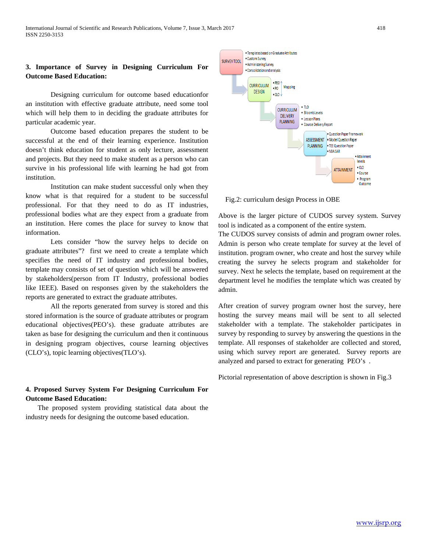# **3. Importance of Survey in Designing Curriculum For Outcome Based Education:**

Designing curriculum for outcome based educationfor an institution with effective graduate attribute, need some tool which will help them to in deciding the graduate attributes for particular academic year.

Outcome based education prepares the student to be successful at the end of their learning experience. Institution doesn't think education for student as only lecture, assessment and projects. But they need to make student as a person who can survive in his professional life with learning he had got from institution.

Institution can make student successful only when they know what is that required for a student to be successful professional. For that they need to do as IT industries, professional bodies what are they expect from a graduate from an institution. Here comes the place for survey to know that information.

Lets consider "how the survey helps to decide on graduate attributes"? first we need to create a template which specifies the need of IT industry and professional bodies, template may consists of set of question which will be answered by stakeholders(person from IT Industry, professional bodies like IEEE). Based on responses given by the stakeholders the reports are generated to extract the graduate attributes.

All the reports generated from survey is stored and this stored information is the source of graduate attributes or program educational objectives(PEO's). these graduate attributes are taken as base for designing the curriculum and then it continuous in designing program objectives, course learning objectives (CLO's), topic learning objectives(TLO's).

# **4. Proposed Survey System For Designing Curriculum For Outcome Based Education:**

 The proposed system providing statistical data about the industry needs for designing the outcome based education.



Fig.2: curriculum design Process in OBE

Above is the larger picture of CUDOS survey system. Survey tool is indicated as a component of the entire system.

The CUDOS survey consists of admin and program owner roles. Admin is person who create template for survey at the level of institution. program owner, who create and host the survey while creating the survey he selects program and stakeholder for survey. Next he selects the template, based on requirement at the department level he modifies the template which was created by admin.

After creation of survey program owner host the survey, here hosting the survey means mail will be sent to all selected stakeholder with a template. The stakeholder participates in survey by responding to survey by answering the questions in the template. All responses of stakeholder are collected and stored, using which survey report are generated. Survey reports are analyzed and parsed to extract for generating PEO's .

Pictorial representation of above description is shown in Fig.3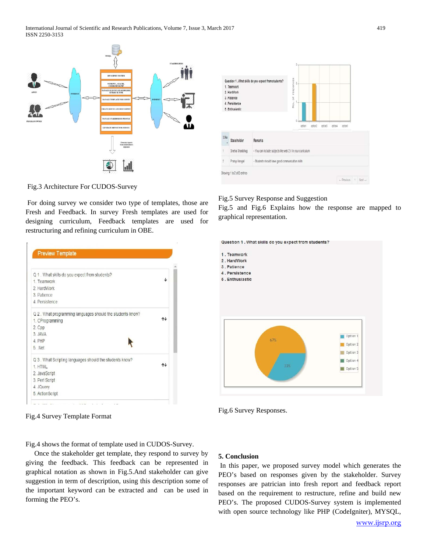International Journal of Scientific and Research Publications, Volume 7, Issue 3, March 2017 419 ISSN 2250-3153





Fig.3 Architecture For CUDOS-Survey

For doing survey we consider two type of templates, those are Fresh and Feedback. In survey Fresh templates are used for designing curriculum, Feedback templates are used for restructuring and refining curriculum in OBE.

| Q 1. What skills do you expect from students?                                                                                                   |    |
|-------------------------------------------------------------------------------------------------------------------------------------------------|----|
| 1 Teamwork                                                                                                                                      | J. |
| 2 HardWork                                                                                                                                      |    |
| 3 Patience                                                                                                                                      |    |
| 4 Persistence                                                                                                                                   |    |
| Q 2. What programming languages should the students know?<br>1. CProgramming                                                                    | ተተ |
| 2. Cpp                                                                                                                                          |    |
|                                                                                                                                                 |    |
|                                                                                                                                                 |    |
|                                                                                                                                                 |    |
|                                                                                                                                                 |    |
|                                                                                                                                                 | ተተ |
|                                                                                                                                                 |    |
|                                                                                                                                                 |    |
| 3. JAVA<br>4 PHP<br>5 Net<br>Q 3. What Scripting languages should the students know?<br>1. HTML<br>2. JavaScript<br>3. Perl Script<br>4. JQuery |    |

Fig.4 Survey Template Format

Fig.4 shows the format of template used in CUDOS-Survey.

 Once the stakeholder get template, they respond to survey by giving the feedback. This feedback can be represented in graphical notation as shown in Fig.5.And stakeholder can give suggestion in term of description, using this description some of the important keyword can be extracted and can be used in forming the PEO's.

#### Fig.5 Survey Response and Suggestion

Fig.5 and Fig.6 Explains how the response are mapped to graphical representation.





## **5. Conclusion**

In this paper, we proposed survey model which generates the PEO's based on responses given by the stakeholder. Survey responses are patrician into fresh report and feedback report based on the requirement to restructure, refine and build new PEO's. The proposed CUDOS-Survey system is implemented with open source technology like PHP (CodeIgniter), MYSQL,